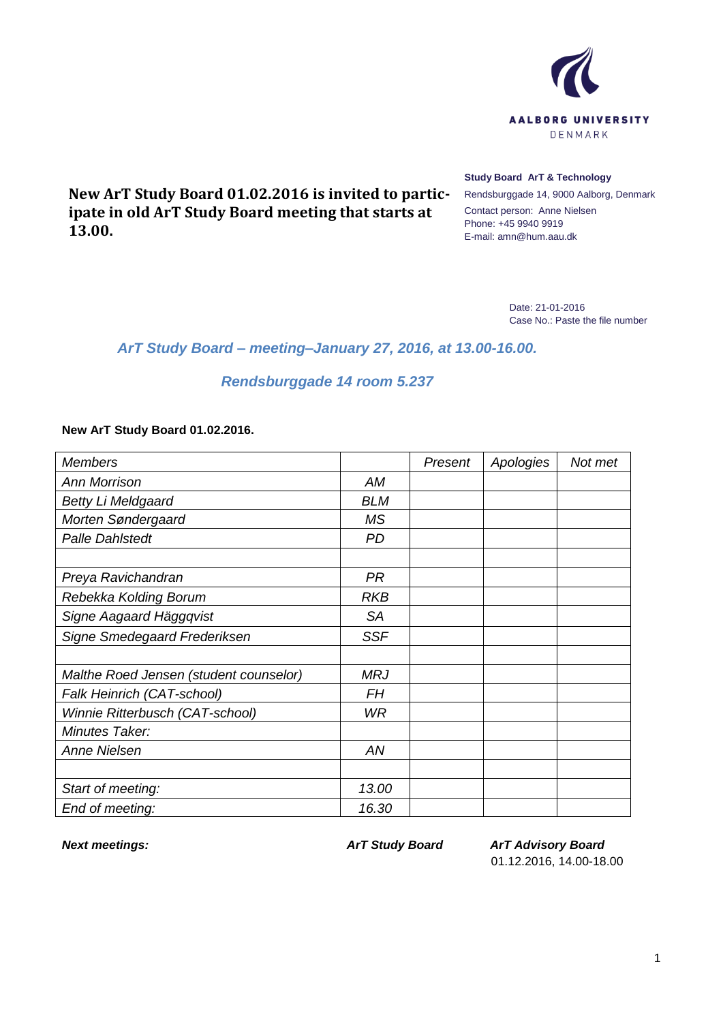

**New ArT Study Board 01.02.2016 is invited to participate in old ArT Study Board meeting that starts at 13.00.**

## **Study Board ArT & Technology**

Rendsburggade 14, 9000 Aalborg, Denmark Contact person: Anne Nielsen Phone: +45 9940 9919 E-mail: amn@hum.aau.dk

> Date: 21-01-2016 Case No.: Paste the file number

## *ArT Study Board – meeting–January 27, 2016, at 13.00-16.00.*

## *Rendsburggade 14 room 5.237*

## **New ArT Study Board 01.02.2016.**

| <b>Members</b>                         |            | Present | Apologies | Not met |
|----------------------------------------|------------|---------|-----------|---------|
| <b>Ann Morrison</b>                    | AM         |         |           |         |
| <b>Betty Li Meldgaard</b>              | <b>BLM</b> |         |           |         |
| Morten Søndergaard                     | <b>MS</b>  |         |           |         |
| <b>Palle Dahlstedt</b>                 | PD         |         |           |         |
|                                        |            |         |           |         |
| Preya Ravichandran                     | <b>PR</b>  |         |           |         |
| Rebekka Kolding Borum                  | <b>RKB</b> |         |           |         |
| Signe Aagaard Häggqvist                | <b>SA</b>  |         |           |         |
| Signe Smedegaard Frederiksen           | <b>SSF</b> |         |           |         |
|                                        |            |         |           |         |
| Malthe Roed Jensen (student counselor) | <b>MRJ</b> |         |           |         |
| Falk Heinrich (CAT-school)             | FН         |         |           |         |
| Winnie Ritterbusch (CAT-school)        | <b>WR</b>  |         |           |         |
| Minutes Taker:                         |            |         |           |         |
| <b>Anne Nielsen</b>                    | AN         |         |           |         |
|                                        |            |         |           |         |
| Start of meeting:                      | 13.00      |         |           |         |
| End of meeting:                        | 16.30      |         |           |         |

*Next meetings: ArT Study Board ArT Advisory Board* 01.12.2016, 14.00-18.00